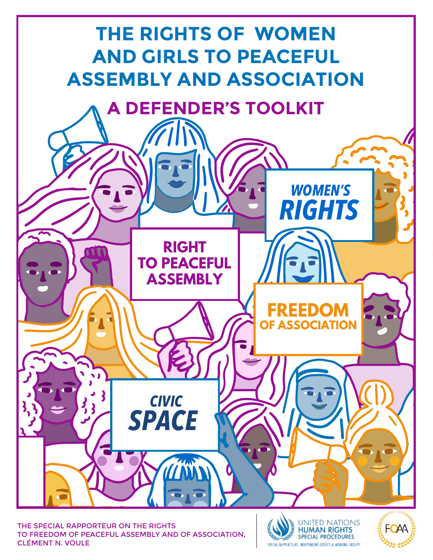

THE SPECIAL RAPPORTEUR ON THE RIGHTS TO FREEDOM OF PEACEFUL ASSEMBLY AND OF ASSOCIATION, CLÉMENT N. VOULE



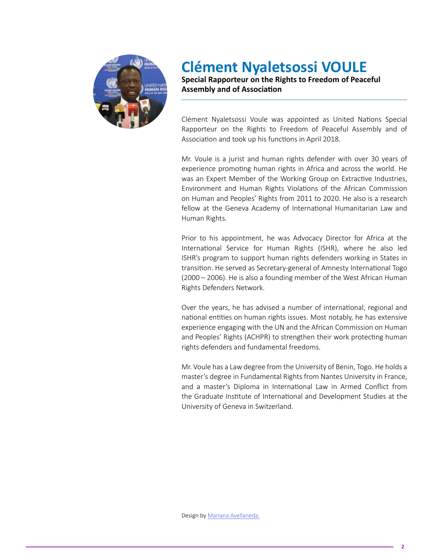

### **Clément Nyaletsossi VOULE**

**Special Rapporteur on the Rights to Freedom of Peaceful Assembly and of Association**

Clément Nyaletsossi Voule was appointed as United Nations Special Rapporteur on the Rights to Freedom of Peaceful Assembly and of Association and took up his functions in April 2018.

Mr. Voule is a jurist and human rights defender with over 30 years of experience promoting human rights in Africa and across the world. He was an Expert Member of the Working Group on Extractive Industries, Environment and Human Rights Violations of the African Commission on Human and Peoples' Rights from 2011 to 2020. He also is a research fellow at the Geneva Academy of International Humanitarian Law and Human Rights.

Prior to his appointment, he was Advocacy Director for Africa at the International Service for Human Rights (ISHR), where he also led ISHR's program to support human rights defenders working in States in transition. He served as Secretary-general of Amnesty International Togo (2000 – 2006). He is also a founding member of the West African Human Rights Defenders Network.

Over the years, he has advised a number of international, regional and national entities on human rights issues. Most notably, he has extensive experience engaging with the UN and the African Commission on Human and Peoples' Rights (ACHPR) to strengthen their work protecting human rights defenders and fundamental freedoms.

Mr. Voule has a Law degree from the University of Benin, Togo. He holds a master's degree in Fundamental Rights from Nantes University in France, and a master's Diploma in International Law in Armed Conflict from the Graduate Institute of International and Development Studies at the University of Geneva in Switzerland.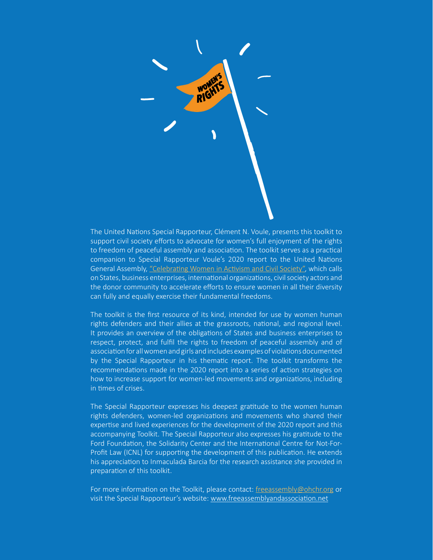

The United Nations Special Rapporteur, Clément N. Voule, presents this toolkit to support civil society efforts to advocate for women's full enjoyment of the rights to freedom of peaceful assembly and association. The toolkit serves as a practical companion to Special Rapporteur Voule's 2020 report to the United Nations General Assembly, ["Celebrating Women in Activism and Civil Society"](https://undocs.org/A/75/184), which calls on States, business enterprises, international organizations, civil society actors and the donor community to accelerate efforts to ensure women in all their diversity can fully and equally exercise their fundamental freedoms.

The toolkit is the first resource of its kind, intended for use by women human rights defenders and their allies at the grassroots, national, and regional level. It provides an overview of the obligations of States and business enterprises to respect, protect, and fulfil the rights to freedom of peaceful assembly and of association for all women and girls and includes examples of violations documented by the Special Rapporteur in his thematic report. The toolkit transforms the recommendations made in the 2020 report into a series of action strategies on how to increase support for women-led movements and organizations, including in times of crises.

The Special Rapporteur expresses his deepest gratitude to the women human rights defenders, women-led organizations and movements who shared their expertise and lived experiences for the development of the 2020 report and this accompanying Toolkit. The Special Rapporteur also expresses his gratitude to the Ford Foundation, the Solidarity Center and the International Centre for Not-For-Profit Law (ICNL) for supporting the development of this publication. He extends his appreciation to Inmaculada Barcia for the research assistance she provided in preparation of this toolkit.

For more information on the Toolkit, please contact: [freeassembly@ohchr.org](mailto:freeassembly@ohchr.org) or visit the Special Rapporteur's website: [www.freeassemblyandassociation.net](https://freeassemblyandassociation.net/)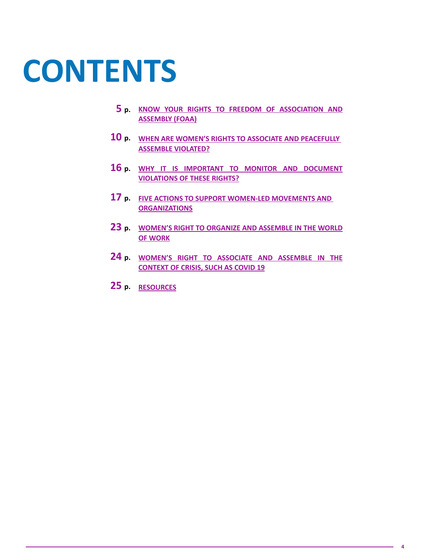# **CONTENTS**

- **5 p. [KNOW YOUR RIGHTS TO FREEDOM OF ASSOCIATION AND](#page-4-0)  [ASSEMBLY \(FOAA\)](#page-4-0)**
- **10 p. [WHEN ARE WOMEN'S RIGHTS TO ASSOCIATE AND PEACEFULLY](#page-9-0)  [ASSEMBLE VIOLATED?](#page-9-0)**
- **16 p. [WHY IT IS IMPORTANT TO MONITOR AND DOCUMENT](#page-15-0)  [VIOLATIONS OF THESE RIGHTS?](#page-15-0)**
- **17 p. [FIVE ACTIONS TO SUPPORT WOMEN-LED MOVEMENTS AND](#page-16-0)  [ORGANIZATIONS](#page-16-0)**
- **23 p. [WOMEN'S RIGHT TO ORGANIZE AND ASSEMBLE IN THE WORLD](#page-22-0)  [OF WORK](#page-22-0)**
- **24 p. [WOMEN'S RIGHT TO ASSOCIATE AND ASSEMBLE IN THE](#page-23-0)  [CONTEXT OF CRISIS, SUCH AS COVID 19](#page-23-0)**
- **25 p. RESOURCES**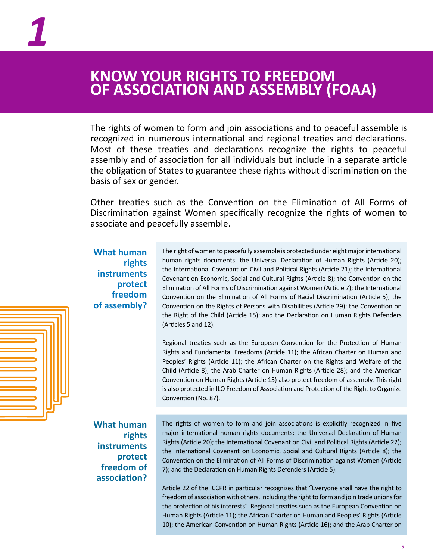### <span id="page-4-0"></span>**KNOW YOUR RIGHTS TO FREEDOM OF ASSOCIATION AND ASSEMBLY (FOAA)**

The rights of women to form and join associations and to peaceful assemble is recognized in numerous international and regional treaties and declarations. Most of these treaties and declarations recognize the rights to peaceful assembly and of association for all individuals but include in a separate article the obligation of States to guarantee these rights without discrimination on the basis of sex or gender.

Other treaties such as the Convention on the Elimination of All Forms of Discrimination against Women specifically recognize the rights of women to associate and peacefully assemble.

**What human rights instruments protect freedom of assembly?** The right of women to peacefully assemble is protected under eight major international human rights documents: the Universal Declaration of Human Rights (Article 20); the International Covenant on Civil and Political Rights (Article 21); the International Covenant on Economic, Social and Cultural Rights (Article 8); the Convention on the Elimination of All Forms of Discrimination against Women (Article 7); the International Convention on the Elimination of All Forms of Racial Discrimination (Article 5); the Convention on the Rights of Persons with Disabilities (Article 29); the Convention on the Right of the Child (Article 15); and the Declaration on Human Rights Defenders (Articles 5 and 12).

Regional treaties such as the European Convention for the Protection of Human Rights and Fundamental Freedoms (Article 11); the African Charter on Human and Peoples' Rights (Article 11); the African Charter on the Rights and Welfare of the Child (Article 8); the Arab Charter on Human Rights (Article 28); and the American Convention on Human Rights (Article 15) also protect freedom of assembly. This right is also protected in ILO Freedom of Association and Protection of the Right to Organize Convention (No. 87).

**What human rights instruments protect freedom of association?**

The rights of women to form and join associations is explicitly recognized in five major international human rights documents: the Universal Declaration of Human Rights (Article 20); the International Covenant on Civil and Political Rights (Article 22); the International Covenant on Economic, Social and Cultural Rights (Article 8); the Convention on the Elimination of All Forms of Discrimination against Women (Article 7); and the Declaration on Human Rights Defenders (Article 5).

Article 22 of the ICCPR in particular recognizes that "Everyone shall have the right to freedom of association with others, including the right to form and join trade unions for the protection of his interests". Regional treaties such as the European Convention on Human Rights (Article 11); the African Charter on Human and Peoples' Rights (Article 10); the American Convention on Human Rights (Article 16); and the Arab Charter on

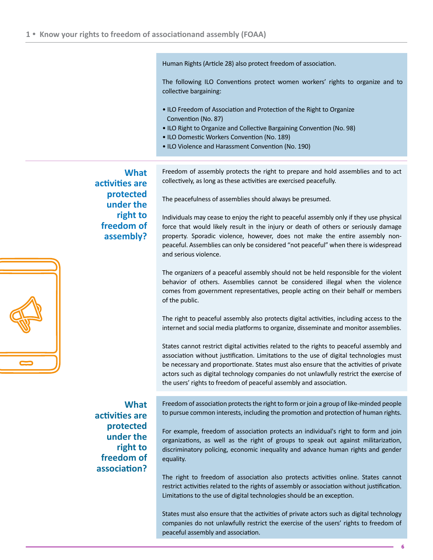Human Rights (Article 28) also protect freedom of association.

The following ILO Conventions protect women workers' rights to organize and to collective bargaining:

- ILO Freedom of Association and Protection of the Right to Organize Convention (No. 87)
- ILO Right to Organize and Collective Bargaining Convention (No. 98)
- ILO Domestic Workers Convention (No. 189)
- ILO Violence and Harassment Convention (No. 190)

**What activities are protected under the right to freedom of assembly?** Freedom of assembly protects the right to prepare and hold assemblies and to act collectively, as long as these activities are exercised peacefully.

The peacefulness of assemblies should always be presumed.

Individuals may cease to enjoy the right to peaceful assembly only if they use physical force that would likely result in the injury or death of others or seriously damage property. Sporadic violence, however, does not make the entire assembly nonpeaceful. Assemblies can only be considered "not peaceful" when there is widespread and serious violence.

The organizers of a peaceful assembly should not be held responsible for the violent behavior of others. Assemblies cannot be considered illegal when the violence comes from government representatives, people acting on their behalf or members of the public.

The right to peaceful assembly also protects digital activities, including access to the internet and social media platforms to organize, disseminate and monitor assemblies.

States cannot restrict digital activities related to the rights to peaceful assembly and association without justification. Limitations to the use of digital technologies must be necessary and proportionate. States must also ensure that the activities of private actors such as digital technology companies do not unlawfully restrict the exercise of the users' rights to freedom of peaceful assembly and association.

Freedom of association protects the right to form or join a group of like-minded people to pursue common interests, including the promotion and protection of human rights.

For example, freedom of association protects an individual's right to form and join organizations, as well as the right of groups to speak out against militarization, discriminatory policing, economic inequality and advance human rights and gender equality.

The right to freedom of association also protects activities online. States cannot restrict activities related to the rights of assembly or association without justification. Limitations to the use of digital technologies should be an exception.

States must also ensure that the activities of private actors such as digital technology companies do not unlawfully restrict the exercise of the users' rights to freedom of peaceful assembly and association.

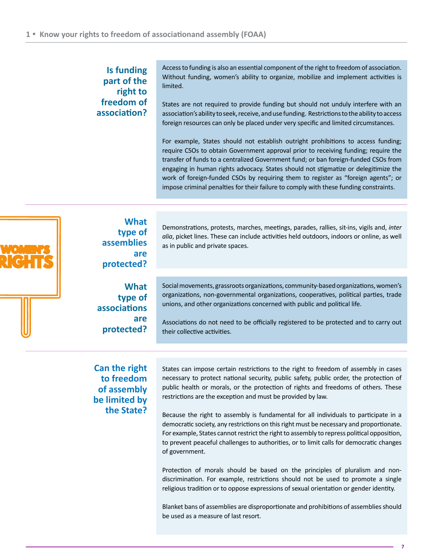#### **Is funding part of the right to freedom of association?**

Access to funding is also an essential component of the right to freedom of association. Without funding, women's ability to organize, mobilize and implement activities is limited.

States are not required to provide funding but should not unduly interfere with an association's ability to seek, receive, and use funding. Restrictions to the ability to access foreign resources can only be placed under very specific and limited circumstances.

For example, States should not establish outright prohibitions to access funding; require CSOs to obtain Government approval prior to receiving funding; require the transfer of funds to a centralized Government fund; or ban foreign-funded CSOs from engaging in human rights advocacy. States should not stigmatize or delegitimize the work of foreign-funded CSOs by requiring them to register as "foreign agents"; or impose criminal penalties for their failure to comply with these funding constraints.



**What type of assemblies are protected?**

Demonstrations, protests, marches, meetings, parades, rallies, sit-ins, vigils and, *inter alia*, picket lines. These can include activities held outdoors, indoors or online, as well as in public and private spaces.

**What type of associations are protected?** Social movements, grassroots organizations, community-based organizations, women's organizations, non-governmental organizations, cooperatives, political parties, trade unions, and other organizations concerned with public and political life.

Associations do not need to be officially registered to be protected and to carry out their collective activities.

**Can the right to freedom of assembly be limited by the State?**

States can impose certain restrictions to the right to freedom of assembly in cases necessary to protect national security, public safety, public order, the protection of public health or morals, or the protection of rights and freedoms of others. These restrictions are the exception and must be provided by law.

Because the right to assembly is fundamental for all individuals to participate in a democratic society, any restrictions on this right must be necessary and proportionate. For example, States cannot restrict the right to assembly to repress political opposition, to prevent peaceful challenges to authorities, or to limit calls for democratic changes of government.

Protection of morals should be based on the principles of pluralism and nondiscrimination. For example, restrictions should not be used to promote a single religious tradition or to oppose expressions of sexual orientation or gender identity.

Blanket bans of assemblies are disproportionate and prohibitions of assemblies should be used as a measure of last resort.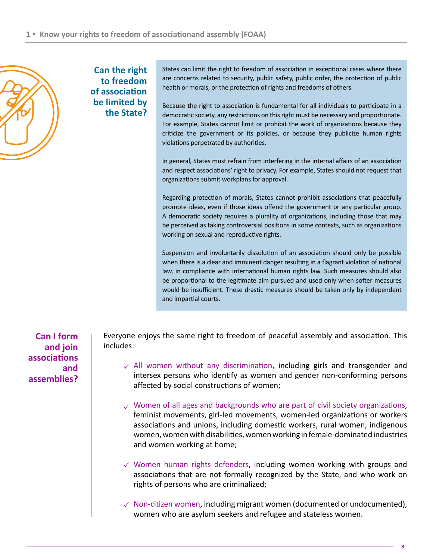

**Can the right to freedom of association be limited by the State?**

States can limit the right to freedom of association in exceptional cases where there are concerns related to security, public safety, public order, the protection of public health or morals, or the protection of rights and freedoms of others.

Because the right to association is fundamental for all individuals to participate in a democratic society, any restrictions on this right must be necessary and proportionate. For example, States cannot limit or prohibit the work of organizations because they criticize the government or its policies, or because they publicize human rights violations perpetrated by authorities.

In general, States must refrain from interfering in the internal affairs of an association and respect associations' right to privacy. For example, States should not request that organizations submit workplans for approval.

Regarding protection of morals, States cannot prohibit associations that peacefully promote ideas, even if those ideas offend the government or any particular group. A democratic society requires a plurality of organizations, including those that may be perceived as taking controversial positions in some contexts, such as organizations working on sexual and reproductive rights.

Suspension and involuntarily dissolution of an association should only be possible when there is a clear and imminent danger resulting in a flagrant violation of national law, in compliance with international human rights law. Such measures should also be proportional to the legitimate aim pursued and used only when softer measures would be insufficient. These drastic measures should be taken only by independent and impartial courts.

**Can I form and join associations and assemblies?**

Everyone enjoys the same right to freedom of peaceful assembly and association. This includes:

- $\checkmark$  All women without any discrimination, including girls and transgender and intersex persons who identify as women and gender non-conforming persons affected by social constructions of women;
- $\checkmark$  Women of all ages and backgrounds who are part of civil society organizations, feminist movements, girl-led movements, women-led organizations or workers associations and unions, including domestic workers, rural women, indigenous women, women with disabilities, women working in female-dominated industries and women working at home;
- $\checkmark$  Women human rights defenders, including women working with groups and associations that are not formally recognized by the State, and who work on rights of persons who are criminalized;
- $\checkmark$  Non-citizen women, including migrant women (documented or undocumented), women who are asylum seekers and refugee and stateless women.

**8**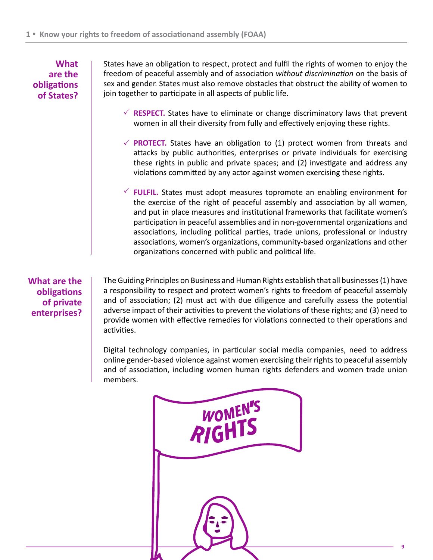**What are the obligations of States?** 

States have an obligation to respect, protect and fulfil the rights of women to enjoy the freedom of peaceful assembly and of association *without discrimination* on the basis of sex and gender. States must also remove obstacles that obstruct the ability of women to join together to participate in all aspects of public life.

- $\checkmark$  RESPECT. States have to eliminate or change discriminatory laws that prevent women in all their diversity from fully and effectively enjoying these rights.
- **PROTECT.** States have an obligation to (1) protect women from threats and attacks by public authorities, enterprises or private individuals for exercising these rights in public and private spaces; and (2) investigate and address any violations committed by any actor against women exercising these rights.
- **FULFIL.** States must adopt measures topromote an enabling environment for the exercise of the right of peaceful assembly and association by all women, and put in place measures and institutional frameworks that facilitate women's participation in peaceful assemblies and in non-governmental organizations and associations, including political parties, trade unions, professional or industry associations, women's organizations, community-based organizations and other organizations concerned with public and political life.

**What are the obligations of private enterprises?** 

The Guiding Principles on Business and Human Rights establish that all businesses (1) have a responsibility to respect and protect women's rights to freedom of peaceful assembly and of association; (2) must act with due diligence and carefully assess the potential adverse impact of their activities to prevent the violations of these rights; and (3) need to provide women with effective remedies for violations connected to their operations and activities.

Digital technology companies, in particular social media companies, need to address online gender-based violence against women exercising their rights to peaceful assembly and of association, including women human rights defenders and women trade union members.

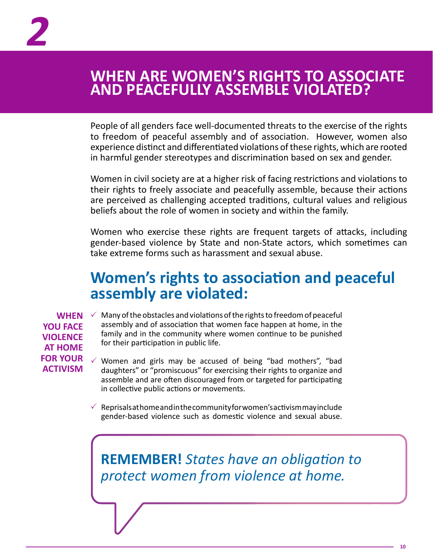### <span id="page-9-0"></span>**WHEN ARE WOMEN'S RIGHTS TO ASSOCIATE AND PEACEFULLY ASSEMBLE VIOLATED?**

People of all genders face well-documented threats to the exercise of the rights to freedom of peaceful assembly and of association. However, women also experience distinct and differentiated violations of these rights, which are rooted in harmful gender stereotypes and discrimination based on sex and gender.

Women in civil society are at a higher risk of facing restrictions and violations to their rights to freely associate and peacefully assemble, because their actions are perceived as challenging accepted traditions, cultural values and religious beliefs about the role of women in society and within the family.

Women who exercise these rights are frequent targets of attacks, including gender-based violence by State and non-State actors, which sometimes can take extreme forms such as harassment and sexual abuse.

### **Women's rights to association and peaceful assembly are violated:**

**YOU FACE VIOLENCE AT HOME FOR YOUR ACTIVISM**

**WHEN**  $\checkmark$  Many of the obstacles and violations of the rights to freedom of peaceful assembly and of association that women face happen at home, in the family and in the community where women continue to be punished for their participation in public life.

> $\checkmark$  Women and girls may be accused of being "bad mothers", "bad daughters" or "promiscuous" for exercising their rights to organize and assemble and are often discouraged from or targeted for participating in collective public actions or movements.

> $\checkmark$ Reprisals at home and in the community for women's activism may include gender-based violence such as domestic violence and sexual abuse.

**REMEMBER!** *States have an obligation to protect women from violence at home.*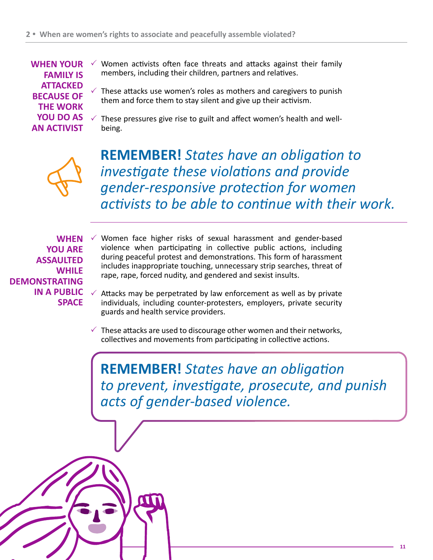**WHEN YOUR FAMILY IS ATTACKED BECAUSE OF THE WORK YOU DO AS AN ACTIVIST**

- $\checkmark$ Women activists often face threats and attacks against their family members, including their children, partners and relatives.
- $\checkmark$  These attacks use women's roles as mothers and caregivers to punish them and force them to stay silent and give up their activism.
- $\checkmark$  These pressures give rise to guilt and affect women's health and wellbeing.



**REMEMBER!** *States have an obligation to investigate these violations and provide gender-responsive protection for women activists to be able to continue with their work.*

**WHEN YOU ARE ASSAULTED WHILE DEMONSTRATING IN A PUBLIC SPACE**

 $\checkmark$  Women face higher risks of sexual harassment and gender-based violence when participating in collective public actions, including during peaceful protest and demonstrations. This form of harassment includes inappropriate touching, unnecessary strip searches, threat of rape, rape, forced nudity, and gendered and sexist insults.

- Attacks may be perpetrated by law enforcement as well as by private individuals, including counter-protesters, employers, private security guards and health service providers.  $\checkmark$
- $\checkmark$  These attacks are used to discourage other women and their networks, collectives and movements from participating in collective actions.

**REMEMBER!** *States have an obligation to prevent, investigate, prosecute, and punish acts of gender-based violence.* 

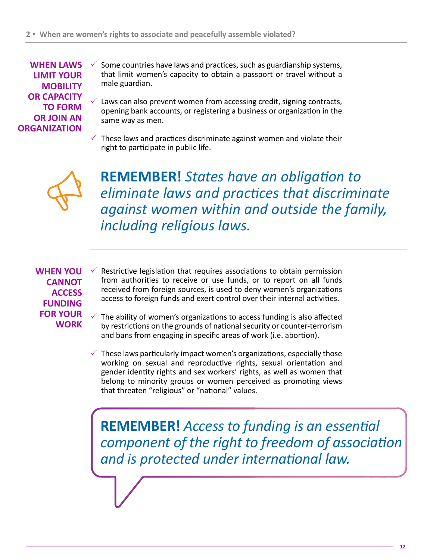**WHEN LAWS LIMIT YOUR MOBILITY OR CAPACITY TO FORM OR JOIN AN ORGANIZATION** 

- Some countries have laws and practices, such as guardianship systems, that limit women's capacity to obtain a passport or travel without a male guardian.  $\checkmark$
- Laws can also prevent women from accessing credit, signing contracts, opening bank accounts, or registering a business or organization in the same way as men.  $\checkmark$
- $\checkmark$  These laws and practices discriminate against women and violate their right to participate in public life.



**REMEMBER!** *States have an obligation to eliminate laws and practices that discriminate against women within and outside the family, including religious laws.*

**WHEN YOU CANNOT ACCESS FUNDING FOR YOUR WORK**

- Restrictive legislation that requires associations to obtain permission from authorities to receive or use funds, or to report on all funds received from foreign sources, is used to deny women's organizations access to foreign funds and exert control over their internal activities.  $\checkmark$
- The ability of women's organizations to access funding is also affected by restrictions on the grounds of national security or counter-terrorism and bans from engaging in specific areas of work (i.e. abortion).  $\checkmark$
- $\checkmark$  These laws particularly impact women's organizations, especially those working on sexual and reproductive rights, sexual orientation and gender identity rights and sex workers' rights, as well as women that belong to minority groups or women perceived as promoting views that threaten "religious" or "national" values.

**REMEMBER!** *Access to funding is an essential component of the right to freedom of association and is protected under international law.*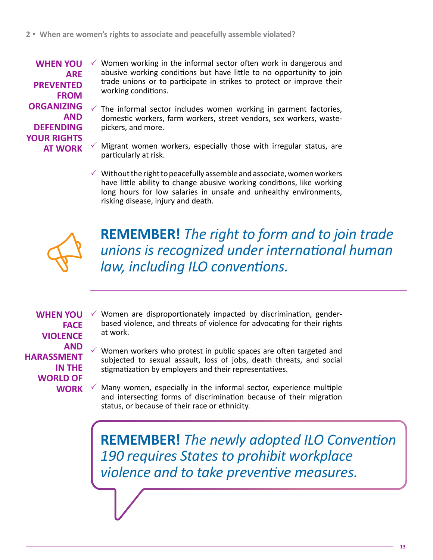**WHEN YOU ARE PREVENTED FROM ORGANIZING AND DEFENDING YOUR RIGHTS AT WORK** 

- $\checkmark$  Women working in the informal sector often work in dangerous and abusive working conditions but have little to no opportunity to join trade unions or to participate in strikes to protect or improve their working conditions.
- The informal sector includes women working in garment factories, domestic workers, farm workers, street vendors, sex workers, wastepickers, and more.  $\checkmark$
- Migrant women workers, especially those with irregular status, are particularly at risk.  $\checkmark$ 
	- $\checkmark$  Without the right to peacefully assemble and associate, women workers have little ability to change abusive working conditions, like working long hours for low salaries in unsafe and unhealthy environments, risking disease, injury and death.



**REMEMBER!** *The right to form and to join trade unions is recognized under international human law, including ILO conventions.*

**WHEN YOU FACE VIOLENCE AND HARASSMENT IN THE WORLD OF WORK** 

- $\checkmark$  Women are disproportionately impacted by discrimination, genderbased violence, and threats of violence for advocating for their rights at work.
- Women workers who protest in public spaces are often targeted and subjected to sexual assault, loss of jobs, death threats, and social stigmatization by employers and their representatives.  $\checkmark$
- Many women, especially in the informal sector, experience multiple and intersecting forms of discrimination because of their migration status, or because of their race or ethnicity.  $\checkmark$

**REMEMBER!** *The newly adopted ILO Convention 190 requires States to prohibit workplace violence and to take preventive measures.*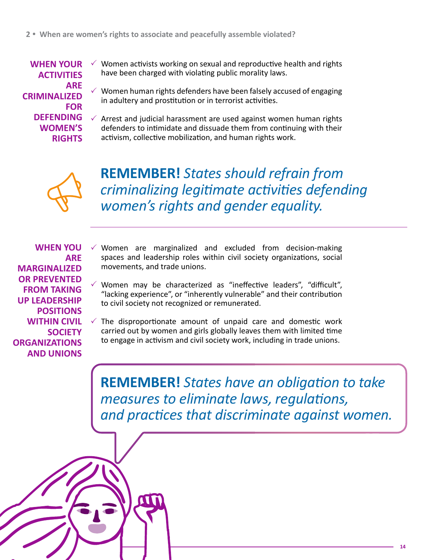**WHEN YOUR ACTIVITIES ARE CRIMINALIZED FOR DEFENDING WOMEN'S RIGHTS**

- $\checkmark$  Women activists working on sexual and reproductive health and rights have been charged with violating public morality laws.
- $\checkmark$  Women human rights defenders have been falsely accused of engaging in adultery and prostitution or in terrorist activities.
- $\checkmark$  Arrest and judicial harassment are used against women human rights defenders to intimidate and dissuade them from continuing with their activism, collective mobilization, and human rights work.



**REMEMBER!** *States should refrain from criminalizing legitimate activities defending women's rights and gender equality.*

**WHEN YOU ARE MARGINALIZED OR PREVENTED FROM TAKING UP LEADERSHIP POSITIONS WITHIN CIVIL SOCIETY ORGANIZATIONS AND UNIONS**

- $\checkmark$  Women are marginalized and excluded from decision-making spaces and leadership roles within civil society organizations, social movements, and trade unions.
- Women may be characterized as "ineffective leaders", "difficult", "lacking experience", or "inherently vulnerable" and their contribution to civil society not recognized or remunerated.  $\checkmark$
- $\checkmark$  The disproportionate amount of unpaid care and domestic work carried out by women and girls globally leaves them with limited time to engage in activism and civil society work, including in trade unions.

**REMEMBER!** *States have an obligation to take measures to eliminate laws, regulations, and practices that discriminate against women.*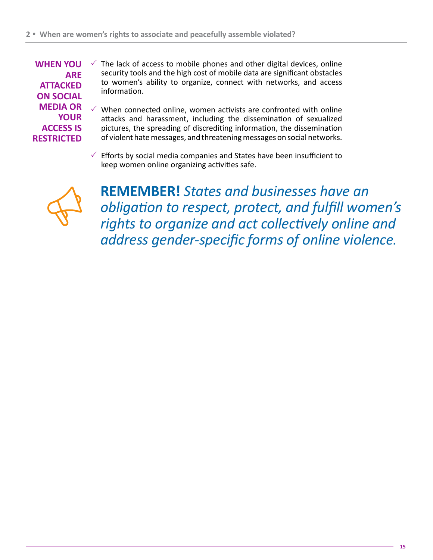**WHEN YOU ARE ATTACKED ON SOCIAL MEDIA OR YOUR ACCESS IS RESTRICTED**

- $\checkmark$  The lack of access to mobile phones and other digital devices, online security tools and the high cost of mobile data are significant obstacles to women's ability to organize, connect with networks, and access information.
- $\checkmark$  When connected online, women activists are confronted with online attacks and harassment, including the dissemination of sexualized pictures, the spreading of discrediting information, the dissemination of violent hate messages, and threatening messages on social networks.
- $\checkmark$  Efforts by social media companies and States have been insufficient to keep women online organizing activities safe.



**REMEMBER!** *States and businesses have an obligation to respect, protect, and fulfill women's rights to organize and act collectively online and address gender-specific forms of online violence.*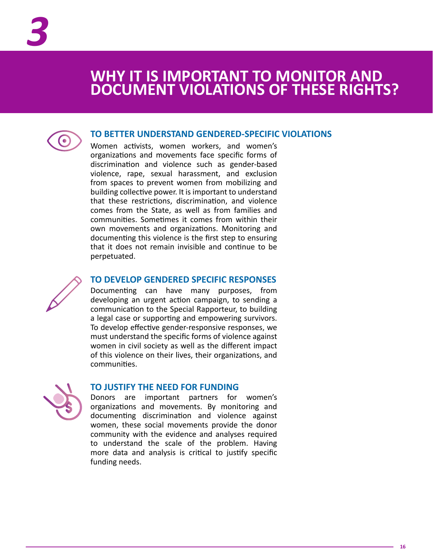### <span id="page-15-0"></span>**WHY IT IS IMPORTANT TO MONITOR AND DOCUMENT VIOLATIONS OF THESE RIGHTS?**



#### **TO BETTER UNDERSTAND GENDERED-SPECIFIC VIOLATIONS**

Women activists, women workers, and women's organizations and movements face specific forms of discrimination and violence such as gender-based violence, rape, sexual harassment, and exclusion from spaces to prevent women from mobilizing and building collective power. It is important to understand that these restrictions, discrimination, and violence comes from the State, as well as from families and communities. Sometimes it comes from within their own movements and organizations. Monitoring and documenting this violence is the first step to ensuring that it does not remain invisible and continue to be perpetuated.



#### **TO DEVELOP GENDERED SPECIFIC RESPONSES**

Documenting can have many purposes, from developing an urgent action campaign, to sending a communication to the Special Rapporteur, to building a legal case or supporting and empowering survivors. To develop effective gender-responsive responses, we must understand the specific forms of violence against women in civil society as well as the different impact of this violence on their lives, their organizations, and communities.



#### **TO JUSTIFY THE NEED FOR FUNDING**

Donors are important partners for women's organizations and movements. By monitoring and documenting discrimination and violence against women, these social movements provide the donor community with the evidence and analyses required to understand the scale of the problem. Having more data and analysis is critical to justify specific funding needs.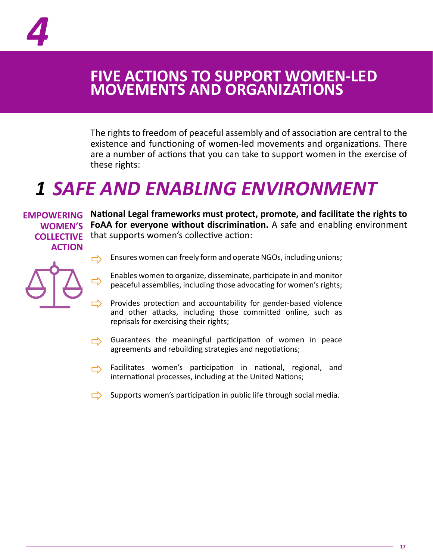<span id="page-16-0"></span>

### **FIVE ACTIONS TO SUPPORT WOMEN-LED MOVEMENTS AND ORGANIZATIONS**

The rights to freedom of peaceful assembly and of association are central to the existence and functioning of women-led movements and organizations. There are a number of actions that you can take to support women in the exercise of these rights:

# *1 SAFE AND ENABLING ENVIRONMENT*

**ACTION**

**EMPOWERING** National Legal frameworks must protect, promote, and facilitate the rights to **FoAA for everyone without discrimination.** A safe and enabling environment **WOMEN'S COLLECTIVE** that supports women's collective action:



Ensures women can freely form and operate NGOs, including unions;

- Enables women to organize, disseminate, participate in and monitor peaceful assemblies, including those advocating for women's rights;
- Provides protection and accountability for gender-based violence and other attacks, including those committed online, such as reprisals for exercising their rights;
- Guarantees the meaningful participation of women in peace agreements and rebuilding strategies and negotiations;  $\Rightarrow$
- Facilitates women's participation in national, regional, and<br>international processes including at the United Nations: international processes, including at the United Nations;
- $\Rightarrow$  Supports women's participation in public life through social media.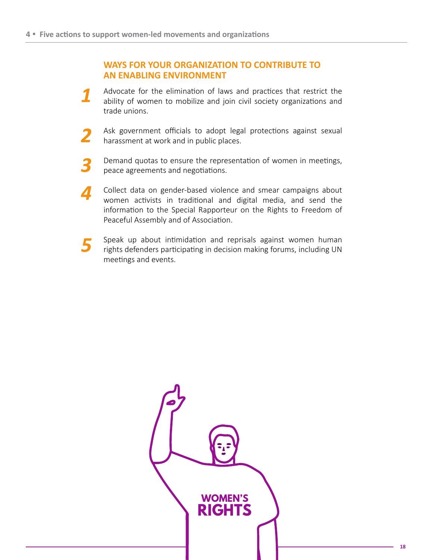#### **WAYS FOR YOUR ORGANIZATION TO CONTRIBUTE TO AN ENABLING ENVIRONMENT**

- Advocate for the elimination of laws and practices that restrict the ability of women to mobilize and join civil society organizations and trade unions.
- Ask government officials to adopt legal protections against sexual harassment at work and in public places.
- Demand quotas to ensure the representation of women in meetings, 3 peace agreements and negotiations.
- Collect data on gender-based violence and smear campaigns about  $\boldsymbol{\varLambda}$ women activists in traditional and digital media, and send the information to the Special Rapporteur on the Rights to Freedom of Peaceful Assembly and of Association.
- Speak up about intimidation and reprisals against women human 5 rights defenders participating in decision making forums, including UN meetings and events.

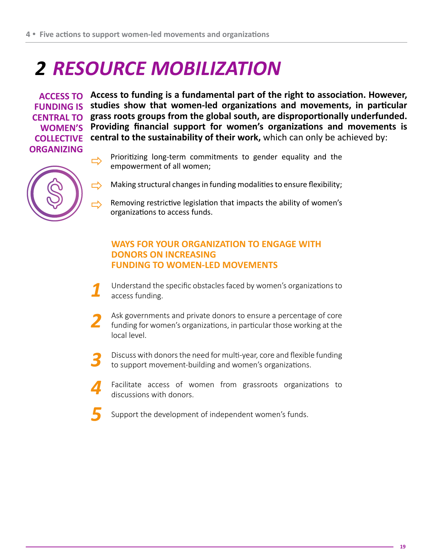# *2 RESOURCE MOBILIZATION*

**ORGANIZING**

**Access to funding is a fundamental part of the right to association. However, ACCESS TO**  FUNDING IS studies show that women-led organizations and movements, in particular **grass roots groups from the global south, are disproportionally underfunded. CENTRAL TO Providing financial support for women's organizations and movements is WOMEN'S COLLECTIVE** central to the sustainability of their work, which can only be achieved by:



- Prioritizing long-term commitments to gender equality and the empowerment of all women;
- Making structural changes in funding modalities to ensure flexibility;  $\Rightarrow$
- Removing restrictive legislation that impacts the ability of women's organizations to access funds. しょうかん しょうかん しょうかい しょうかい しょうかい しょうかい しょうかい じょうかい しょうかい しょうかい しょうかい しょうかい しょうかい しょうかい しょうかい しょうかい

#### **WAYS FOR YOUR ORGANIZATION TO ENGAGE WITH DONORS ON INCREASING FUNDING TO WOMEN-LED MOVEMENTS**

- Understand the specific obstacles faced by women's organizations to access funding.
- Ask governments and private donors to ensure a percentage of core funding for women's organizations, in particular those working at the local level.
- Discuss with donors the need for multi-year, core and flexible funding to support movement-building and women's organizations.
- Facilitate access of women from grassroots organizations to  $\boldsymbol{\varLambda}$ discussions with donors.
	- Support the development of independent women's funds.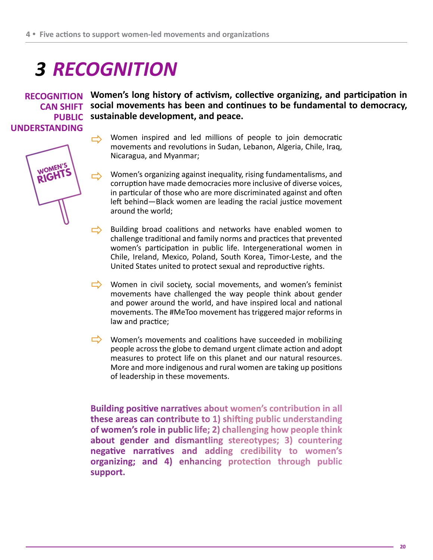# *3 RECOGNITION*

**UNDERSTANDING**

**WOMEN' RIGHT** 

**Women's long history of activism, collective organizing, and participation in RECOGNITION**  CAN SHIFT social movements has been and continues to be fundamental to democracy, **sustainable development, and peace. PUBLIC** 

> Women inspired and led millions of people to join democratic<br>movements and revolutions in Sudan, Lebanon, Algeria, Chile Iraq movements and revolutions in Sudan, Lebanon, Algeria, Chile, Iraq, Nicaragua, and Myanmar;

> Women's organizing against inequality, rising fundamentalisms, and corruption have made democracies more inclusive of diverse voices, in particular of those who are more discriminated against and often left behind—Black women are leading the racial justice movement around the world;  $\Rightarrow$

> Building broad coalitions and networks have enabled women to challenge traditional and family norms and practices that prevented women's participation in public life. Intergenerational women in Chile, Ireland, Mexico, Poland, South Korea, Timor-Leste, and the United States united to protect sexual and reproductive rights.  $\Rightarrow$

> Women in civil society, social movements, and women's feminist movements have challenged the way people think about gender and power around the world, and have inspired local and national movements. The #MeToo movement has triggered major reforms in law and practice;

> Women's movements and coalitions have succeeded in mobilizing people across the globe to demand urgent climate action and adopt measures to protect life on this planet and our natural resources. More and more indigenous and rural women are taking up positions of leadership in these movements.

> **Building positive narratives about women's contribution in all these areas can contribute to 1) shifting public understanding of women's role in public life; 2) challenging how people think about gender and dismantling stereotypes; 3) countering negative narratives and adding credibility to women's organizing; and 4) enhancing protection through public support.**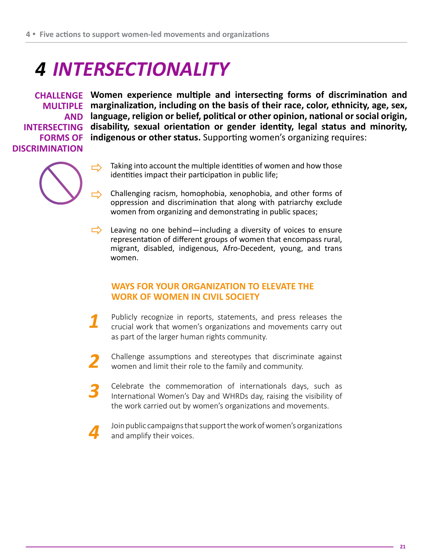# *4 INTERSECTIONALITY*

**DISCRIMINATION**

**Women experience multiple and intersecting forms of discrimination and CHALLENGE MULTIPLE** marginalization, including on the basis of their race, color, ethnicity, age, sex, **language, religion or belief, political or other opinion, national or social origin, AND INTERSECTING** disability, sexual orientation or gender identity, legal status and minority, FORMS OF indigenous or other status. Supporting women's organizing requires:

- $\Rightarrow$
- Taking into account the multiple identities of women and how those identities impact their participation in public life;
- Challenging racism, homophobia, xenophobia, and other forms of oppression and discrimination that along with patriarchy exclude women from organizing and demonstrating in public spaces;  $\Rightarrow$
- Leaving no one behind—including a diversity of voices to ensure representation of different groups of women that encompass rural, migrant, disabled, indigenous, Afro-Decedent, young, and trans women.  $\Rightarrow$

#### **WAYS FOR YOUR ORGANIZATION TO ELEVATE THE WORK OF WOMEN IN CIVIL SOCIETY**

- Publicly recognize in reports, statements, and press releases the crucial work that women's organizations and movements carry out as part of the larger human rights community.
- Challenge assumptions and stereotypes that discriminate against women and limit their role to the family and community.
- Celebrate the commemoration of internationals days, such as International Women's Day and WHRDs day, raising the visibility of the work carried out by women's organizations and movements.
- Join public campaigns that support the work of women's organizations and amplify their voices.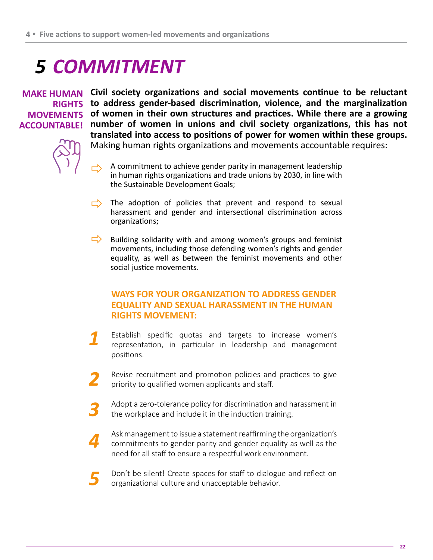# *5 COMMITMENT*

## **MOVEMENTS ACCOUNTABLE!**

**MAKE HUMAN** Civil society organizations and social movements continue to be reluctant **to address gender-based discrimination, violence, and the marginalization RIGHTS of women in their own structures and practices. While there are a growing number of women in unions and civil society organizations, this has not translated into access to positions of power for women within these groups.**  Making human rights organizations and movements accountable requires:

- A commitment to achieve gender parity in management leadership in human rights organizations and trade unions by 2030, in line with the Sustainable Development Goals;  $\Rightarrow$
- $\Rightarrow$  The adoption of policies that prevent and respond to sexual horsesment and condex and intersectional discrimination across harassment and gender and intersectional discrimination across organizations;
- $\Rightarrow$  Building solidarity with and among women's groups and feminist movements, including those defending women's rights and gender equality, as well as between the feminist movements and other social justice movements.

#### **WAYS FOR YOUR ORGANIZATION TO ADDRESS GENDER EQUALITY AND SEXUAL HARASSMENT IN THE HUMAN RIGHTS MOVEMENT:**

- Establish specific quotas and targets to increase women's representation, in particular in leadership and management positions.
- Revise recruitment and promotion policies and practices to give priority to qualified women applicants and staff.
- Adopt a zero-tolerance policy for discrimination and harassment in the workplace and include it in the induction training.
- Ask management to issue a statement reaffirming the organization's  $\boldsymbol{\varLambda}$ commitments to gender parity and gender equality as well as the need for all staff to ensure a respectful work environment.
	- Don't be silent! Create spaces for staff to dialogue and reflect on organizational culture and unacceptable behavior.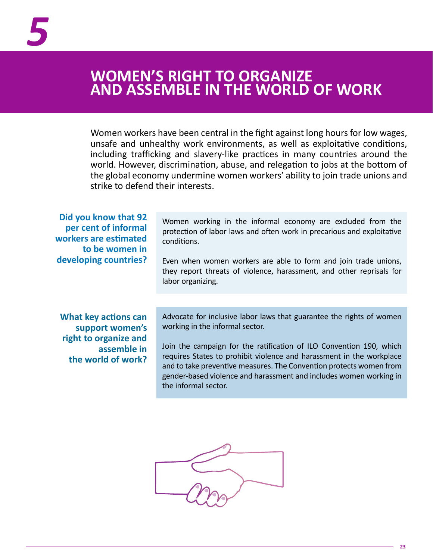### <span id="page-22-0"></span>**WOMEN'S RIGHT TO ORGANIZE AND ASSEMBLE IN THE WORLD OF WORK**

Women workers have been central in the fight against long hours for low wages, unsafe and unhealthy work environments, as well as exploitative conditions, including trafficking and slavery-like practices in many countries around the world. However, discrimination, abuse, and relegation to jobs at the bottom of the global economy undermine women workers' ability to join trade unions and strike to defend their interests.

**Did you know that 92 per cent of informal workers are estimated to be women in developing countries?**

Women working in the informal economy are excluded from the protection of labor laws and often work in precarious and exploitative conditions.

Even when women workers are able to form and join trade unions, they report threats of violence, harassment, and other reprisals for labor organizing.

**What key actions can support women's right to organize and assemble in the world of work?**  Advocate for inclusive labor laws that guarantee the rights of women working in the informal sector.

Join the campaign for the ratification of ILO Convention 190, which requires States to prohibit violence and harassment in the workplace and to take preventive measures. The Convention protects women from gender-based violence and harassment and includes women working in the informal sector.

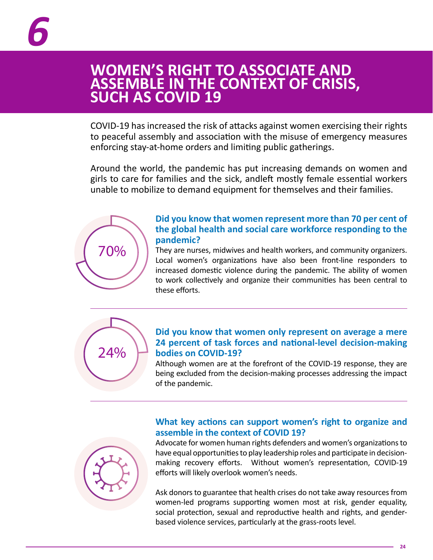#### <span id="page-23-0"></span>**WOMEN'S RIGHT TO ASSOCIATE AND ASSEMBLE IN THE CONTEXT OF CRISIS, SUCH AS COVID 19**

COVID-19 has increased the risk of attacks against women exercising their rights to peaceful assembly and association with the misuse of emergency measures enforcing stay-at-home orders and limiting public gatherings.

Around the world, the pandemic has put increasing demands on women and girls to care for families and the sick, andleft mostly female essential workers unable to mobilize to demand equipment for themselves and their families.



#### **Did you know that women represent more than 70 per cent of the global health and social care workforce responding to the pandemic?**

They are nurses, midwives and health workers, and community organizers. Local women's organizations have also been front-line responders to increased domestic violence during the pandemic. The ability of women to work collectively and organize their communities has been central to these efforts.



#### **Did you know that women only represent on average a mere 24 percent of task forces and national-level decision-making bodies on COVID-19?**

Although women are at the forefront of the COVID-19 response, they are being excluded from the decision-making processes addressing the impact of the pandemic.

#### **What key actions can support women's right to organize and assemble in the context of COVID 19?**



Advocate for women human rights defenders and women's organizations to have equal opportunities to play leadership roles and participate in decisionmaking recovery efforts. Without women's representation, COVID-19 efforts will likely overlook women's needs.

Ask donors to guarantee that health crises do not take away resources from women-led programs supporting women most at risk, gender equality, social protection, sexual and reproductive health and rights, and genderbased violence services, particularly at the grass-roots level.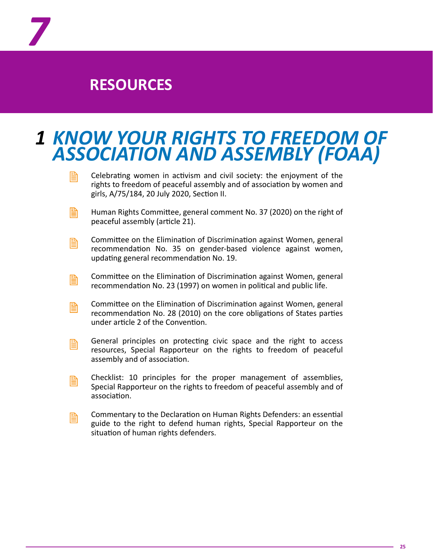

*7*

### *1 KNOW YOUR RIGHTS TO FREEDOM OF ASSOCIATION AND ASSEMBLY (FOAA)*

- Celebrating women in activism and civil society: the enjoyment of the rights to freedom of peaceful assembly and of association by women and girls, A/75/184, 20 July 2020, Section II. e.
- Human Rights Committee, general comment No. 37 (2020) on the right of peaceful assembly (article 21). e.
- Committee on the Elimination of Discrimination against Women, general recommendation No. 35 on gender-based violence against women, updating general recommendation No. 19. B
- Committee on the Elimination of Discrimination against Women, general recommendation No. 23 (1997) on women in political and public life. B
- Committee on the Elimination of Discrimination against Women, general recommendation No. 28 (2010) on the core obligations of States parties under article 2 of the Convention. B
- General principles on protecting civic space and the right to access resources, Special Rapporteur on the rights to freedom of peaceful assembly and of association. e.
- Checklist: 10 principles for the proper management of assemblies, Special Rapporteur on the rights to freedom of peaceful assembly and of association. B
- Commentary to the Declaration on Human Rights Defenders: an essential guide to the right to defend human rights, Special Rapporteur on the situation of human rights defenders. e.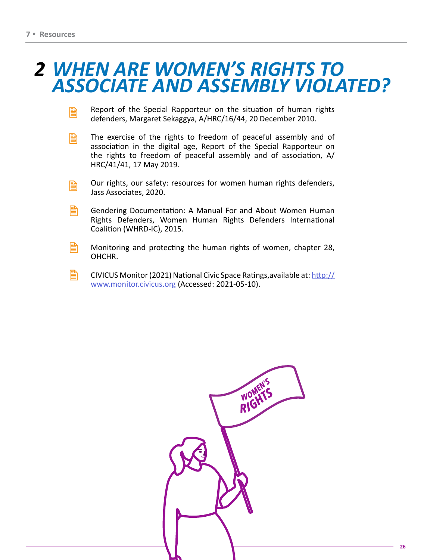### *2 WHEN ARE WOMEN'S RIGHTS TO ASSOCIATE AND ASSEMBLY VIOLATED?*

- Report of the Special Rapporteur on the situation of human rights defenders, Margaret Sekaggya, A/HRC/16/44, 20 December 2010. B
- The exercise of the rights to freedom of peaceful assembly and of association in the digital age, Report of the Special Rapporteur on the rights to freedom of peaceful assembly and of association, A/ HRC/41/41, 17 May 2019.  $\mathbb{B}$
- Our rights, our safety: resources for women human rights defenders, Jass Associates, 2020. 訚
- 昏 Gendering Documentation: A Manual For and About Women Human Rights Defenders, Women Human Rights Defenders International Coalition (WHRD-IC), 2015.
- B Monitoring and protecting the human rights of women, chapter 28, OHCHR.
- ₿ CIVICUS Monitor (2021) National Civic Space Ratings,available at: [http://](http://www.monitor.civicus.org/) [www.monitor.civicus.org](http://www.monitor.civicus.org/) (Accessed: 2021-05-10).

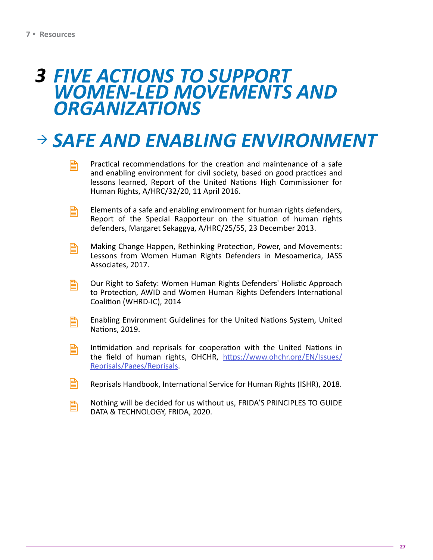### *FIVE ACTIONS TO SUPPORT 3 WOMEN-LED MOVEMENTS AND ORGANIZATIONS*

# *SAFE AND ENABLING ENVIRONMENT*

- Practical recommendations for the creation and maintenance of a safe and enabling environment for civil society, based on good practices and lessons learned, Report of the United Nations High Commissioner for Human Rights, A/HRC/32/20, 11 April 2016. e
- Elements of a safe and enabling environment for human rights defenders, Report of the Special Rapporteur on the situation of human rights defenders, Margaret Sekaggya, A/HRC/25/55, 23 December 2013. B
- Making Change Happen, Rethinking Protection, Power, and Movements: Lessons from Women Human Rights Defenders in Mesoamerica, JASS Associates, 2017. 閶
- Our Right to Safety: Women Human Rights Defenders' Holistic Approach to Protection, AWID and Women Human Rights Defenders International Coalition (WHRD-IC), 2014 B
- Enabling Environment Guidelines for the United Nations System, United Nations, 2019. B
- Intimidation and reprisals for cooperation with the United Nations in the field of human rights, OHCHR, [https://www.ohchr.org/EN/Issues/](https://www.ohchr.org/Pages/PageNotFoundError.aspx?requestUrl=https://www.ohchr.org/EN/Issues/Reprisals/Pages/Reprisals) [Reprisals/Pages/Reprisals.](https://www.ohchr.org/Pages/PageNotFoundError.aspx?requestUrl=https://www.ohchr.org/EN/Issues/Reprisals/Pages/Reprisals) B
- Reprisals Handbook, International Service for Human Rights (ISHR), 2018. 閶
- Nothing will be decided for us without us, FRIDA'S PRINCIPLES TO GUIDE DATA & TECHNOLOGY, FRIDA, 2020. B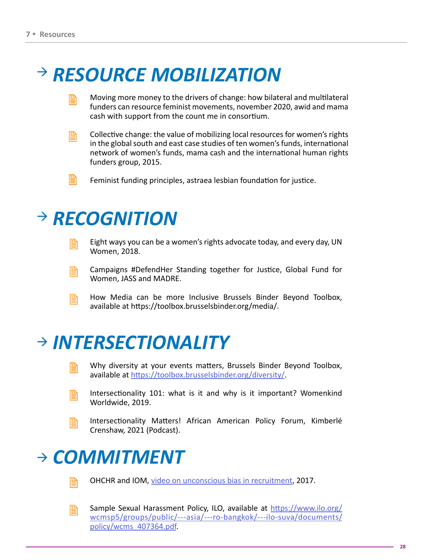# *RESOURCE MOBILIZATION*

- Moving more money to the drivers of change: how bilateral and multilateral funders can resource feminist movements, november 2020, awid and mama cash with support from the count me in consortium. e
- B

Collective change: the value of mobilizing local resources for women's rights in the global south and east case studies of ten women's funds, international network of women's funds, mama cash and the international human rights funders group, 2015.

Feminist funding principles, astraea lesbian foundation for justice. B

# *RECOGNITION*

e

Eight ways you can be a women's rights advocate today, and every day, UN Women, 2018.

- Campaigns #DefendHer Standing together for Justice, Global Fund for Women, JASS and MADRE. e.
- How Media can be more Inclusive Brussels Binder Beyond Toolbox, available at https://toolbox.brusselsbinder.org/media/. B

# *INTERSECTIONALITY*

- Why diversity at your events matters, Brussels Binder Beyond Toolbox, available at [https://toolbox.brusselsbinder.org/diversity/.](https://toolbox.brusselsbinder.org/diversity/)
- 閆

B

Intersectionality 101: what is it and why is it important? Womenkind Worldwide, 2019.

e.

Intersectionality Matters! African American Policy Forum, Kimberlé Crenshaw, 2021 (Podcast).

# *COMMITMENT*



OHCHR and IOM, [video on unconscious bias in recruitment,](https://www.youtube.com/watch?app=desktop&v=qC54v_Syjtw) 2017.



Sample Sexual Harassment Policy, ILO, available at [https://www.ilo.org/](https://www.ilo.org/wcmsp5/groups/public/---asia/---ro-bangkok/---ilo-suva/documents/policy/wcms_407364.pdf) [wcmsp5/groups/public/---asia/---ro-bangkok/---ilo-suva/documents/](https://www.ilo.org/wcmsp5/groups/public/---asia/---ro-bangkok/---ilo-suva/documents/policy/wcms_407364.pdf) [policy/wcms\\_407364.pdf](https://www.ilo.org/wcmsp5/groups/public/---asia/---ro-bangkok/---ilo-suva/documents/policy/wcms_407364.pdf).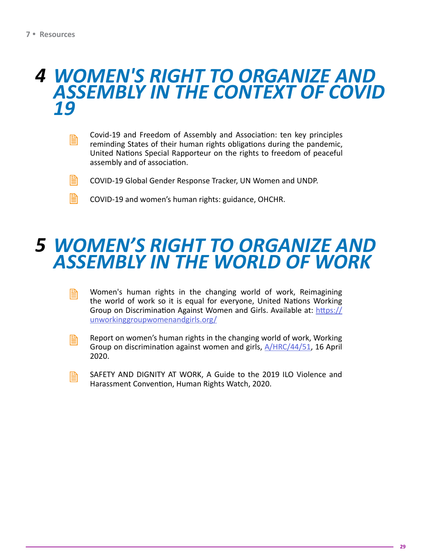B

### *WOMEN'S RIGHT TO ORGANIZE AND 4 ASSEMBLY IN THE CONTEXT OF COVID 19*

- Covid-19 and Freedom of Assembly and Association: ten key principles reminding States of their human rights obligations during the pandemic, United Nations Special Rapporteur on the rights to freedom of peaceful assembly and of association. B
- COVID-19 Global Gender Response Tracker, UN Women and UNDP. h
	- COVID-19 and women's human rights: guidance, OHCHR.

#### **ASSEMBLY CONTRACTER AND CONTRACT AND ACCOUNTED AND CONTEXT AND CONTENT AND ACCOUNTED AND CONTECT AND ACCOUNTED** *WOMEN'S RIGHT TO ORGANIZE AND 5 ASSEMBLY IN THE WORLD OF WORK*

- Women's human rights in the changing world of work, Reimagining the world of work so it is equal for everyone, United Nations Working Group on Discrimination Against Women and Girls. Available at: [https://](https://unworkinggroupwomenandgirls.org/) [unworkinggroupwomenandgirls.org/](https://unworkinggroupwomenandgirls.org/) 閶
- Report on women's human rights in the changing world of work, Working Group on discrimination against women and girls, [A/HRC/44/51,](https://undocs.org/A/HRC/44/51) 16 April 2020. B
- SAFETY AND DIGNITY AT WORK, A Guide to the 2019 ILO Violence and Harassment Convention, Human Rights Watch, 2020. 閶